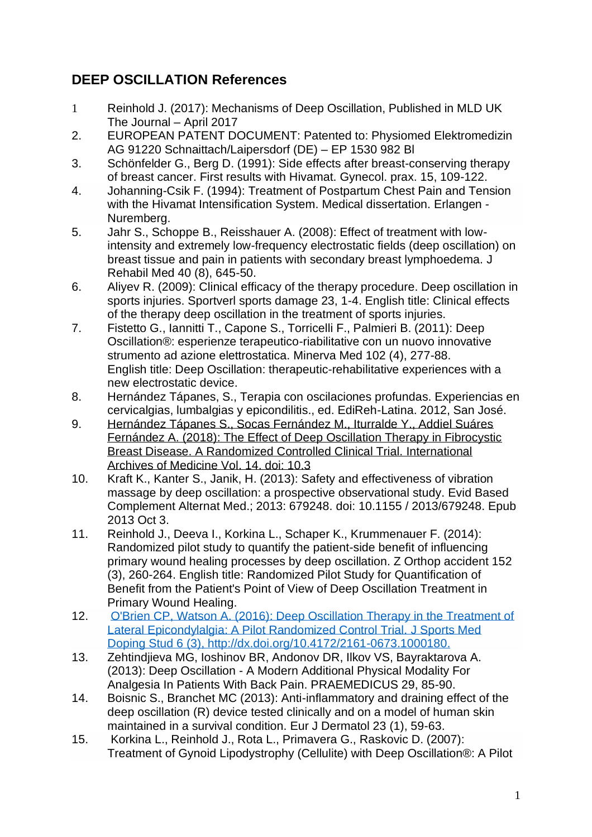## **DEEP OSCILLATION References**

- 1 [Reinhold J. \(2017\): Mechanisms of Deep Oscillation, Published in MLD UK](http://www.physiopod.co.uk/assets/images2017/2017-MLD-6pp-web.pdf)  [The Journal](http://www.physiopod.co.uk/assets/images2017/2017-MLD-6pp-web.pdf) – April 2017
- 2. EUROPEAN PATENT DOCUMENT: Patented to: Physiomed Elektromedizin AG 91220 Schnaittach/Laipersdorf (DE) – EP 1530 982 Bl
- 3. [Schönfelder G., Berg D. \(1991\): Side effects after breast-conserving therapy](https://www.physiomed.de/fileadmin/Files/Homepage/Backroom/Bibliografie_Tiefenoszillation/Studien/s_de_DO_Schoenfelder1991_Mammakarzinom_Gynaekol._Prax._15.pdf)  of breast cancer. [First results with Hivamat.](https://www.physiomed.de/fileadmin/Files/Homepage/Backroom/Bibliografie_Tiefenoszillation/Studien/s_de_DO_Schoenfelder1991_Mammakarzinom_Gynaekol._Prax._15.pdf) Gynecol. prax. 15, 109-122.
- 4. [Johanning-Csik F. \(1994\): Treatment of Postpartum Chest Pain and Tension](https://www.physiomed.de/fileadmin/Files/Homepage/Backroom/Bibliografie_Tiefenoszillation/Studien/s_de_DO_Johanning-Csik1994_postpartaler_Brustschmerz_med._Dissertation.pdf)  [with the Hivamat Intensification System.](https://www.physiomed.de/fileadmin/Files/Homepage/Backroom/Bibliografie_Tiefenoszillation/Studien/s_de_DO_Johanning-Csik1994_postpartaler_Brustschmerz_med._Dissertation.pdf) Medical dissertation. Erlangen - [Nuremberg.](https://www.physiomed.de/fileadmin/Files/Homepage/Backroom/Bibliografie_Tiefenoszillation/Studien/s_de_DO_Johanning-Csik1994_postpartaler_Brustschmerz_med._Dissertation.pdf)
- 5. [Jahr S., Schoppe B., Reisshauer A. \(2008\): Effect of treatment with low](https://www.ncbi.nlm.nih.gov/pubmed/19020698)[intensity and extremely low-frequency electrostatic fields \(deep oscillation\) on](https://www.ncbi.nlm.nih.gov/pubmed/19020698)  [breast tissue and pain in patients with secondary breast lymphoedema.](https://www.ncbi.nlm.nih.gov/pubmed/19020698) J [Rehabil Med 40 \(8\), 645-50.](https://www.ncbi.nlm.nih.gov/pubmed/19020698)
- 6. [Aliyev R. \(2009\): Clinical efficacy of the therapy procedure. Deep oscillation in](https://www.ncbi.nlm.nih.gov/pubmed/19306234)  sports injuries. [Sportverl sports damage 23, 1-4.](https://www.ncbi.nlm.nih.gov/pubmed/19306234) English title: Clinical effects [of the therapy deep oscillation in the treatment of sports injuries.](https://www.ncbi.nlm.nih.gov/pubmed/19306234)
- 7. [Fistetto G., Iannitti T., Capone S., Torricelli F., Palmieri B. \(2011\): Deep](https://www.ncbi.nlm.nih.gov/pubmed/21968626)  [Oscillation®: esperienze terapeutico-riabilitative con un nuovo innovative](https://www.ncbi.nlm.nih.gov/pubmed/21968626)  [strumento ad azione elettrostatica.](https://www.ncbi.nlm.nih.gov/pubmed/21968626) Minerva Med 102 (4), 277-88. [English title: Deep Oscillation: therapeutic-rehabilitative experiences with a](https://www.ncbi.nlm.nih.gov/pubmed/21968626)  [new electrostatic device.](https://www.ncbi.nlm.nih.gov/pubmed/21968626)
- 8. Hernández Tápanes, S., Terapia con oscilaciones profundas. Experiencias en cervicalgias, lumbalgias y epicondilitis., ed. EdiReh-Latina. 2012, San José.
- 9. [Hernández Tápanes S., Socas Fernández M., Iturralde Y., Addiel Suáres](http://imedicalpublisher.com/ojs/index.php/iam/article/view/2789)  [Fernández A. \(2018\): The Effect of Deep Oscillation Therapy in Fibrocystic](http://imedicalpublisher.com/ojs/index.php/iam/article/view/2789)  Breast Disease. [A Randomized Controlled Clinical Trial.](http://imedicalpublisher.com/ojs/index.php/iam/article/view/2789) International [Archives of Medicine Vol.](http://imedicalpublisher.com/ojs/index.php/iam/article/view/2789) 14. doi: 10.3
- 10. [Kraft K., Kanter S., Janik, H. \(2013\): Safety and effectiveness of vibration](https://www.ncbi.nlm.nih.gov/pubmed/24222779)  [massage by deep oscillation: a prospective observational study.](https://www.ncbi.nlm.nih.gov/pubmed/24222779) Evid Based [Complement Alternat Med.; 2013: 679248.](https://www.ncbi.nlm.nih.gov/pubmed/24222779) doi: 10.1155 / 2013/679248. Epub [2013 Oct 3.](https://www.ncbi.nlm.nih.gov/pubmed/24222779)
- 11. [Reinhold J., Deeva I., Korkina L., Schaper K., Krummenauer F. \(2014\):](https://www.ncbi.nlm.nih.gov/pubmed/24960095)  [Randomized pilot study to quantify the patient-side benefit of influencing](https://www.ncbi.nlm.nih.gov/pubmed/24960095)  [primary wound healing processes by deep oscillation.](https://www.ncbi.nlm.nih.gov/pubmed/24960095) Z Orthop accident 152 [\(3\), 260-264.](https://www.ncbi.nlm.nih.gov/pubmed/24960095) [English title: Randomized Pilot Study for Quantification of](https://www.ncbi.nlm.nih.gov/pubmed/24960095)  [Benefit from the Patient's Point of View of Deep Oscillation Treatment in](https://www.ncbi.nlm.nih.gov/pubmed/24960095)  [Primary Wound Healing.](https://www.ncbi.nlm.nih.gov/pubmed/24960095)
- 12. O'Brien CP, Watson A. (2016): Deep Oscillation Therapy in the Treatment of [Lateral Epicondylalgia: A Pilot Randomized Control Trial.](file://///users/MaryPhysiopod/Library/Containers/com.apple.mail/Data/Library/Mail%20Downloads/4595E927-98D4-40C6-9577-B83EA7255E90/O) J Sports Med [Doping Stud 6 \(3\), http://dx.doi.org/10.4172/2161-0673.1000180.](file://///users/MaryPhysiopod/Library/Containers/com.apple.mail/Data/Library/Mail%20Downloads/4595E927-98D4-40C6-9577-B83EA7255E90/O)
- 13. [Zehtindjieva MG, Ioshinov BR, Andonov DR, Ilkov VS, Bayraktarova A.](https://www.physiomed.de/fileadmin/Files/Homepage/Backroom/Bibliografie_Tiefenoszillation/Studien/s_gb_DO_Zehtindjieva2013_analgesia_back_pain_PRAEMEDICUS_29.pdf)  (2013): Deep Oscillation - [A Modern Additional Physical Modality For](https://www.physiomed.de/fileadmin/Files/Homepage/Backroom/Bibliografie_Tiefenoszillation/Studien/s_gb_DO_Zehtindjieva2013_analgesia_back_pain_PRAEMEDICUS_29.pdf)  [Analgesia In Patients With Back Pain.](https://www.physiomed.de/fileadmin/Files/Homepage/Backroom/Bibliografie_Tiefenoszillation/Studien/s_gb_DO_Zehtindjieva2013_analgesia_back_pain_PRAEMEDICUS_29.pdf) PRAEMEDICUS 29, 85-90.
- 14. [Boisnic S., Branchet MC \(2013\): Anti-inflammatory and draining effect of the](https://www.ncbi.nlm.nih.gov/pubmed/23420030)  [deep oscillation \(R\) device tested clinically and on a model of human skin](https://www.ncbi.nlm.nih.gov/pubmed/23420030)  [maintained in a survival condition.](https://www.ncbi.nlm.nih.gov/pubmed/23420030) Eur J Dermatol 23 (1), 59-63.
- 15. [Korkina L., Reinhold J., Rota L., Primavera G., Raskovic D. \(2007\):](https://www.physiomed.de/fileadmin/Files/Homepage/Backroom/Bibliografie_Tiefenoszillation/Studien/s_gb_DO_Korkina2007_cellulite_research_report.pdf)  [Treatment of Gynoid Lipodystrophy \(Cellulite\) with Deep Oscillation®: A Pilot](https://www.physiomed.de/fileadmin/Files/Homepage/Backroom/Bibliografie_Tiefenoszillation/Studien/s_gb_DO_Korkina2007_cellulite_research_report.pdf)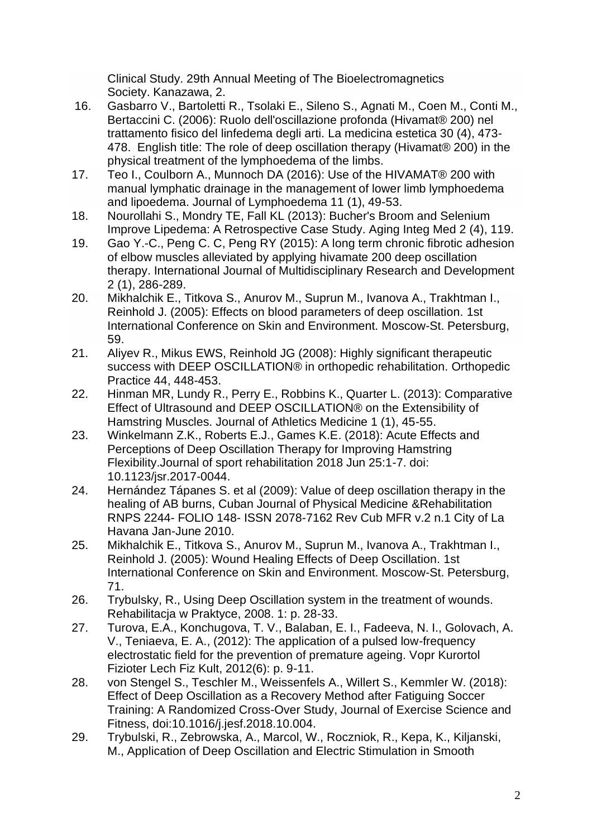Clinical Study. [29th Annual Meeting of The Bioelectromagnetics](https://www.physiomed.de/fileadmin/Files/Homepage/Backroom/Bibliografie_Tiefenoszillation/Studien/s_gb_DO_Korkina2007_cellulite_research_report.pdf)  Society. [Kanazawa, 2.](https://www.physiomed.de/fileadmin/Files/Homepage/Backroom/Bibliografie_Tiefenoszillation/Studien/s_gb_DO_Korkina2007_cellulite_research_report.pdf)

- 16. [Gasbarro V., Bartoletti R., Tsolaki E., Sileno S., Agnati M., Coen M., Conti M.,](http://www.physiopod.co.uk/assets/pdfs/s_gb_DO_Gasbarro2006b_lymphoedema_EJLRP_16.pdf)  [Bertaccini C. \(2006\): Ruolo dell'oscillazione profonda \(Hivamat® 200\) nel](http://www.physiopod.co.uk/assets/pdfs/s_gb_DO_Gasbarro2006b_lymphoedema_EJLRP_16.pdf)  [trattamento fisico del linfedema degli arti.](http://www.physiopod.co.uk/assets/pdfs/s_gb_DO_Gasbarro2006b_lymphoedema_EJLRP_16.pdf) La medicina estetica 30 (4), 473- [478. English title: The role of deep oscillation therapy \(Hivamat® 200\) in the](http://www.physiopod.co.uk/assets/pdfs/s_gb_DO_Gasbarro2006b_lymphoedema_EJLRP_16.pdf)  [physical treatment of the lymphoedema of the limbs.](http://www.physiopod.co.uk/assets/pdfs/s_gb_DO_Gasbarro2006b_lymphoedema_EJLRP_16.pdf)
- 17. [Teo I., Coulborn A., Munnoch DA \(2016\): Use of the HIVAMAT® 200 with](https://www.physiomed.de/fileadmin/Files/Homepage/Backroom/Bibliografie_Tiefenoszillation/Studien/s_gb_DO_Teo2016_lower-limb_lymphoedema_lipoedema_Journal_of_Lymphoedema_11_1.pdf)  [manual lymphatic drainage in the management of lower limb lymphoedema](https://www.physiomed.de/fileadmin/Files/Homepage/Backroom/Bibliografie_Tiefenoszillation/Studien/s_gb_DO_Teo2016_lower-limb_lymphoedema_lipoedema_Journal_of_Lymphoedema_11_1.pdf)  and lipoedema. [Journal of Lymphoedema 11 \(1\), 49-53.](https://www.physiomed.de/fileadmin/Files/Homepage/Backroom/Bibliografie_Tiefenoszillation/Studien/s_gb_DO_Teo2016_lower-limb_lymphoedema_lipoedema_Journal_of_Lymphoedema_11_1.pdf)
- 18. [Nourollahi S., Mondry TE, Fall KL \(2013\): Bucher's Broom and Selenium](https://www.physiomed.de/fileadmin/Files/Homepage/Backroom/Bibliografie_Tiefenoszillation/Studien/cspub_gb_DO_Nourollahi2013_lipedema_Altern_Integ_Med_2.pdf)  [Improve Lipedema: A Retrospective Case Study.](https://www.physiomed.de/fileadmin/Files/Homepage/Backroom/Bibliografie_Tiefenoszillation/Studien/cspub_gb_DO_Nourollahi2013_lipedema_Altern_Integ_Med_2.pdf) Aging Integ Med 2 (4), 119.
- 19. [Gao Y.-C., Peng C. C, Peng RY \(2015\): A long term chronic fibrotic adhesion](https://www.physiomed.de/fileadmin/Files/Homepage/Backroom/Bibliografie_Tiefenoszillation/Studien/s_gb_DO_Gao2015_fibrotic_adhesion_elbow_IJMRN5_2.pdf)  [of elbow muscles alleviated by applying hivamate 200 deep oscillation](https://www.physiomed.de/fileadmin/Files/Homepage/Backroom/Bibliografie_Tiefenoszillation/Studien/s_gb_DO_Gao2015_fibrotic_adhesion_elbow_IJMRN5_2.pdf)  therapy. [International Journal of Multidisciplinary Research and Development](https://www.physiomed.de/fileadmin/Files/Homepage/Backroom/Bibliografie_Tiefenoszillation/Studien/s_gb_DO_Gao2015_fibrotic_adhesion_elbow_IJMRN5_2.pdf)  [2 \(1\), 286-289.](https://www.physiomed.de/fileadmin/Files/Homepage/Backroom/Bibliografie_Tiefenoszillation/Studien/s_gb_DO_Gao2015_fibrotic_adhesion_elbow_IJMRN5_2.pdf)
- 20. [Mikhalchik E., Titkova S., Anurov M., Suprun M., Ivanova A., Trakhtman I.,](https://www.physiomed.de/fileadmin/Files/Homepage/Backroom/Bibliografie_Tiefenoszillation/Studien/s_gb_DO_Mikhalchik2005_blood_in_vitro_research_report.pdf)  [Reinhold J. \(2005\): Effects on blood parameters of deep oscillation.](https://www.physiomed.de/fileadmin/Files/Homepage/Backroom/Bibliografie_Tiefenoszillation/Studien/s_gb_DO_Mikhalchik2005_blood_in_vitro_research_report.pdf) 1st [International Conference on Skin and Environment.](https://www.physiomed.de/fileadmin/Files/Homepage/Backroom/Bibliografie_Tiefenoszillation/Studien/s_gb_DO_Mikhalchik2005_blood_in_vitro_research_report.pdf) Moscow-St. Petersburg, [59.](https://www.physiomed.de/fileadmin/Files/Homepage/Backroom/Bibliografie_Tiefenoszillation/Studien/s_gb_DO_Mikhalchik2005_blood_in_vitro_research_report.pdf)
- 21. Aliyev R., Mikus [EWS, Reinhold JG \(2008\): Highly significant therapeutic](https://www.physiomed.de/fileadmin/Files/Homepage/Backroom/Bibliografie_Tiefenoszillation/Studien/s_es_DO_Aliyev2008_endoprothesis_hip_Orthopaedische_Praxis_44_translation.pdf)  [success with DEEP OSCILLATION® in orthopedic rehabilitation.](https://www.physiomed.de/fileadmin/Files/Homepage/Backroom/Bibliografie_Tiefenoszillation/Studien/s_es_DO_Aliyev2008_endoprothesis_hip_Orthopaedische_Praxis_44_translation.pdf) Orthopedic [Practice 44, 448-453.](https://www.physiomed.de/fileadmin/Files/Homepage/Backroom/Bibliografie_Tiefenoszillation/Studien/s_es_DO_Aliyev2008_endoprothesis_hip_Orthopaedische_Praxis_44_translation.pdf)
- 22. [Hinman MR, Lundy R., Perry E., Robbins K., Quarter L. \(2013\): Comparative](https://www.physiomed.de/fileadmin/Files/Homepage/Backroom/Bibliografie_Tiefenoszillation/Studien/s_gb_DO_Hinman2013_extensibility_hamstring_Journal_of_Athletic_Medicine_1.pdf)  [Effect of Ultrasound and DEEP OSCILLATION® on the Extensibility of](https://www.physiomed.de/fileadmin/Files/Homepage/Backroom/Bibliografie_Tiefenoszillation/Studien/s_gb_DO_Hinman2013_extensibility_hamstring_Journal_of_Athletic_Medicine_1.pdf)  Hamstring Muscles. [Journal of Athletics Medicine 1 \(1\), 45-55.](https://www.physiomed.de/fileadmin/Files/Homepage/Backroom/Bibliografie_Tiefenoszillation/Studien/s_gb_DO_Hinman2013_extensibility_hamstring_Journal_of_Athletic_Medicine_1.pdf)
- 23. [Winkelmann Z.K., Roberts E.J., Games K.E. \(2018\): Acute Effects and](https://www.ncbi.nlm.nih.gov/pubmed/28714788)  [Perceptions of Deep Oscillation Therapy for Improving Hamstring](https://www.ncbi.nlm.nih.gov/pubmed/28714788)  [Flexibility.Journal of sport rehabilitation 2018 Jun 25:1-7. doi:](https://www.ncbi.nlm.nih.gov/pubmed/28714788)  [10.1123/jsr.2017-0044.](https://www.ncbi.nlm.nih.gov/pubmed/28714788)
- 24. [Hernández Tápanes S. et al \(2009\): Value of deep oscillation therapy in the](http://www.physiopod.co.uk/assets/pdfs/s_gb_DO_Solangel2010_burns.pdf)  [healing of AB burns, Cuban Journal of Physical Medicine &Rehabilitation](http://www.physiopod.co.uk/assets/pdfs/s_gb_DO_Solangel2010_burns.pdf)  RNPS 2244- FOLIO 148- [ISSN 2078-7162 Rev Cub MFR v.2 n.1 City of La](http://www.physiopod.co.uk/assets/pdfs/s_gb_DO_Solangel2010_burns.pdf)  [Havana Jan-June 2010.](http://www.physiopod.co.uk/assets/pdfs/s_gb_DO_Solangel2010_burns.pdf)
- 25. [Mikhalchik E., Titkova S., Anurov M., Suprun M., Ivanova A., Trakhtman I.,](https://www.physiomed.de/fileadmin/Files/Homepage/Backroom/Bibliografie_Tiefenoszillation/Studien/s_gb_DO_Mikhalchik2005_excisional_wound__animal__research_report.pdf)  [Reinhold J. \(2005\): Wound Healing Effects of Deep Oscillation.](https://www.physiomed.de/fileadmin/Files/Homepage/Backroom/Bibliografie_Tiefenoszillation/Studien/s_gb_DO_Mikhalchik2005_excisional_wound__animal__research_report.pdf) 1st [International Conference on Skin and Environment.](https://www.physiomed.de/fileadmin/Files/Homepage/Backroom/Bibliografie_Tiefenoszillation/Studien/s_gb_DO_Mikhalchik2005_excisional_wound__animal__research_report.pdf) Moscow-St. Petersburg, [71.](https://www.physiomed.de/fileadmin/Files/Homepage/Backroom/Bibliografie_Tiefenoszillation/Studien/s_gb_DO_Mikhalchik2005_excisional_wound__animal__research_report.pdf)
- 26. [Trybulsky, R., Using Deep Oscillation system in the treatment of wounds.](https://www.physiomed.de/fileadmin/Files/Homepage/Backroom/Bibliografie_Tiefenoszillation/Studien/cspub_es_DO_Trybulski2008_secondary_woundhealing_REHABILITACJA_W_PRAKTYCE_1_translation.pdf)  [Rehabilitacja w Praktyce, 2008. 1: p. 28-33.](https://www.physiomed.de/fileadmin/Files/Homepage/Backroom/Bibliografie_Tiefenoszillation/Studien/cspub_es_DO_Trybulski2008_secondary_woundhealing_REHABILITACJA_W_PRAKTYCE_1_translation.pdf)
- 27. [Turova, E.A., Konchugova, T. V., Balaban, E. I., Fadeeva, N. I., Golovach, A.](https://www.ncbi.nlm.nih.gov/pubmed/?term=The+application+of+a+pulsed+low-frequency+electrostatic+field+for+the+prevention+of+premature+ageing)  [V., Teniaeva, E. A., \(2012\): The application of a pulsed low-frequency](https://www.ncbi.nlm.nih.gov/pubmed/?term=The+application+of+a+pulsed+low-frequency+electrostatic+field+for+the+prevention+of+premature+ageing)  [electrostatic field for the prevention of premature ageing. Vopr Kurortol](https://www.ncbi.nlm.nih.gov/pubmed/?term=The+application+of+a+pulsed+low-frequency+electrostatic+field+for+the+prevention+of+premature+ageing)  [Fizioter Lech Fiz Kult, 2012\(6\): p. 9-11.](https://www.ncbi.nlm.nih.gov/pubmed/?term=The+application+of+a+pulsed+low-frequency+electrostatic+field+for+the+prevention+of+premature+ageing)
- 28. [von Stengel S., Teschler M., Weissenfels A., Willert S., Kemmler W. \(2018\):](https://www.ncbi.nlm.nih.gov/pubmed/30662504)  [Effect of Deep Oscillation as a Recovery Method after Fatiguing Soccer](https://www.ncbi.nlm.nih.gov/pubmed/30662504)  [Training: A Randomized Cross-Over Study, Journal of Exercise Science and](https://www.ncbi.nlm.nih.gov/pubmed/30662504)  [Fitness, doi:10.1016/j.jesf.2018.10.004.](https://www.ncbi.nlm.nih.gov/pubmed/30662504)
- 29. [Trybulski, R., Zebrowska, A., Marcol, W., Roczniok, R., Kepa, K., Kiljanski,](https://www.physiomed.de/fileadmin/Files/Homepage/Backroom/Bibliografie_Tiefenoszillation/Studien/s_gb_DO_Trybulski2016_muscular_fatigue_fizjoterapia_polska_2_16.pdf) [M., Application of Deep Oscillation and Electric Stimulation in Smooth](https://www.physiomed.de/fileadmin/Files/Homepage/Backroom/Bibliografie_Tiefenoszillation/Studien/s_gb_DO_Trybulski2016_muscular_fatigue_fizjoterapia_polska_2_16.pdf)